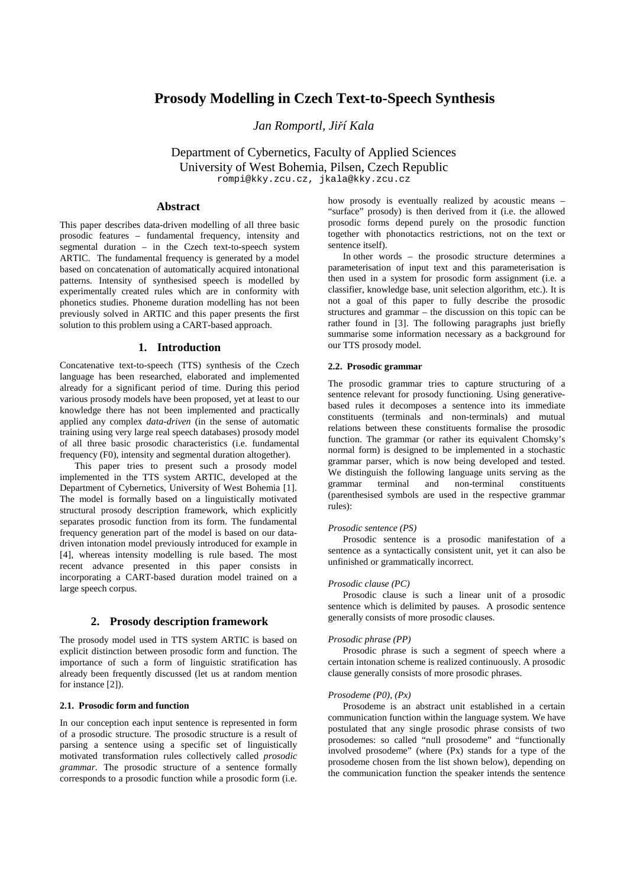# **Prosody Modelling in Czech Text-to-Speech Synthesis**

*Jan Romportl, Ji*ř*í Kala* 

Department of Cybernetics, Faculty of Applied Sciences University of West Bohemia, Pilsen, Czech Republic rompi@kky.zcu.cz, jkala@kky.zcu.cz

## **Abstract**

This paper describes data-driven modelling of all three basic prosodic features – fundamental frequency, intensity and segmental duration – in the Czech text-to-speech system ARTIC. The fundamental frequency is generated by a model based on concatenation of automatically acquired intonational patterns. Intensity of synthesised speech is modelled by experimentally created rules which are in conformity with phonetics studies. Phoneme duration modelling has not been previously solved in ARTIC and this paper presents the first solution to this problem using a CART-based approach.

#### **1. Introduction**

Concatenative text-to-speech (TTS) synthesis of the Czech language has been researched, elaborated and implemented already for a significant period of time. During this period various prosody models have been proposed, yet at least to our knowledge there has not been implemented and practically applied any complex *data-driven* (in the sense of automatic training using very large real speech databases) prosody model of all three basic prosodic characteristics (i.e. fundamental frequency (F0), intensity and segmental duration altogether).

This paper tries to present such a prosody model implemented in the TTS system ARTIC, developed at the Department of Cybernetics, University of West Bohemia [1]. The model is formally based on a linguistically motivated structural prosody description framework, which explicitly separates prosodic function from its form. The fundamental frequency generation part of the model is based on our datadriven intonation model previously introduced for example in [4], whereas intensity modelling is rule based. The most recent advance presented in this paper consists in incorporating a CART-based duration model trained on a large speech corpus.

#### **2. Prosody description framework**

The prosody model used in TTS system ARTIC is based on explicit distinction between prosodic form and function. The importance of such a form of linguistic stratification has already been frequently discussed (let us at random mention for instance [2]).

# **2.1. Prosodic form and function**

In our conception each input sentence is represented in form of a prosodic structure. The prosodic structure is a result of parsing a sentence using a specific set of linguistically motivated transformation rules collectively called *prosodic grammar*. The prosodic structure of a sentence formally corresponds to a prosodic function while a prosodic form (i.e. how prosody is eventually realized by acoustic means – "surface" prosody) is then derived from it (i.e. the allowed prosodic forms depend purely on the prosodic function together with phonotactics restrictions, not on the text or sentence itself).

In other words – the prosodic structure determines a parameterisation of input text and this parameterisation is then used in a system for prosodic form assignment (i.e. a classifier, knowledge base, unit selection algorithm, etc.). It is not a goal of this paper to fully describe the prosodic structures and grammar – the discussion on this topic can be rather found in [3]. The following paragraphs just briefly summarise some information necessary as a background for our TTS prosody model.

#### **2.2. Prosodic grammar**

The prosodic grammar tries to capture structuring of a sentence relevant for prosody functioning. Using generativebased rules it decomposes a sentence into its immediate constituents (terminals and non-terminals) and mutual relations between these constituents formalise the prosodic function. The grammar (or rather its equivalent Chomsky's normal form) is designed to be implemented in a stochastic grammar parser, which is now being developed and tested. We distinguish the following language units serving as the grammar terminal and non-terminal constituents (parenthesised symbols are used in the respective grammar rules):

#### *Prosodic sentence (PS)*

Prosodic sentence is a prosodic manifestation of a sentence as a syntactically consistent unit, yet it can also be unfinished or grammatically incorrect.

#### *Prosodic clause (PC)*

Prosodic clause is such a linear unit of a prosodic sentence which is delimited by pauses. A prosodic sentence generally consists of more prosodic clauses.

#### *Prosodic phrase (PP)*

Prosodic phrase is such a segment of speech where a certain intonation scheme is realized continuously. A prosodic clause generally consists of more prosodic phrases.

#### *Prosodeme (P0), (Px)*

Prosodeme is an abstract unit established in a certain communication function within the language system. We have postulated that any single prosodic phrase consists of two prosodemes: so called "null prosodeme" and "functionally involved prosodeme" (where (Px) stands for a type of the prosodeme chosen from the list shown below), depending on the communication function the speaker intends the sentence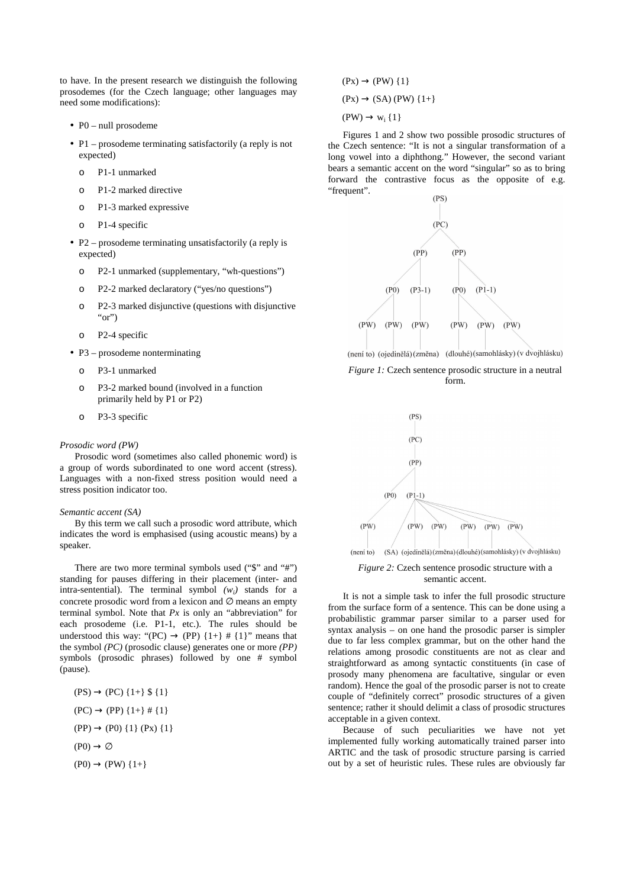to have. In the present research we distinguish the following prosodemes (for the Czech language; other languages may need some modifications):

- P0 null prosodeme
- P1 prosodeme terminating satisfactorily (a reply is not expected)
	- o P1-1 unmarked
	- o P1-2 marked directive
	- o P1-3 marked expressive
	- o P1-4 specific
- P2 prosodeme terminating unsatisfactorily (a reply is expected)
	- o P2-1 unmarked (supplementary, "wh-questions")
	- o P2-2 marked declaratory ("yes/no questions")
	- o P2-3 marked disjunctive (questions with disjunctive " $or$ ")
	- o P2-4 specific
- P3 prosodeme nonterminating
	- o P3-1 unmarked
	- o P3-2 marked bound (involved in a function primarily held by P1 or P2)
	- o P3-3 specific

#### *Prosodic word (PW)*

Prosodic word (sometimes also called phonemic word) is a group of words subordinated to one word accent (stress). Languages with a non-fixed stress position would need a stress position indicator too.

#### *Semantic accent (SA)*

By this term we call such a prosodic word attribute, which indicates the word is emphasised (using acoustic means) by a speaker.

There are two more terminal symbols used ("\$" and "#") standing for pauses differing in their placement (inter- and intra-sentential). The terminal symbol  $(w_i)$  stands for a concrete prosodic word from a lexicon and  $\varnothing$  means an empty terminal symbol. Note that *Px* is only an "abbreviation" for each prosodeme (i.e. P1-1, etc.). The rules should be understood this way: "(PC)  $\rightarrow$  (PP) {1+} # {1}" means that the symbol *(PC)* (prosodic clause) generates one or more *(PP)* symbols (prosodic phrases) followed by one # symbol (pause).

$$
(PS) \rightarrow (PC) \{1+\} \$ \{1\}
$$

$$
(PC) \rightarrow (PP) \{1+\} \# \{1\}
$$

$$
(PP) \rightarrow (PO) \{1\} (Px) \{1\}
$$

$$
(P0) \rightarrow \emptyset
$$

$$
(PO) \rightarrow (PW) \{1+\}
$$

 $(Px) \rightarrow (PW)$  {1}  $(Px) \rightarrow (SA) (PW)$  {1+}  $(PW) \rightarrow w_i \{1\}$ 

Figures 1 and 2 show two possible prosodic structures of the Czech sentence: "It is not a singular transformation of a long vowel into a diphthong." However, the second variant bears a semantic accent on the word "singular" so as to bring forward the contrastive focus as the opposite of e.g. "frequent".









*Figure 2:* Czech sentence prosodic structure with a semantic accent.

It is not a simple task to infer the full prosodic structure from the surface form of a sentence. This can be done using a probabilistic grammar parser similar to a parser used for syntax analysis – on one hand the prosodic parser is simpler due to far less complex grammar, but on the other hand the relations among prosodic constituents are not as clear and straightforward as among syntactic constituents (in case of prosody many phenomena are facultative, singular or even random). Hence the goal of the prosodic parser is not to create couple of "definitely correct" prosodic structures of a given sentence; rather it should delimit a class of prosodic structures acceptable in a given context.

Because of such peculiarities we have not yet implemented fully working automatically trained parser into ARTIC and the task of prosodic structure parsing is carried out by a set of heuristic rules. These rules are obviously far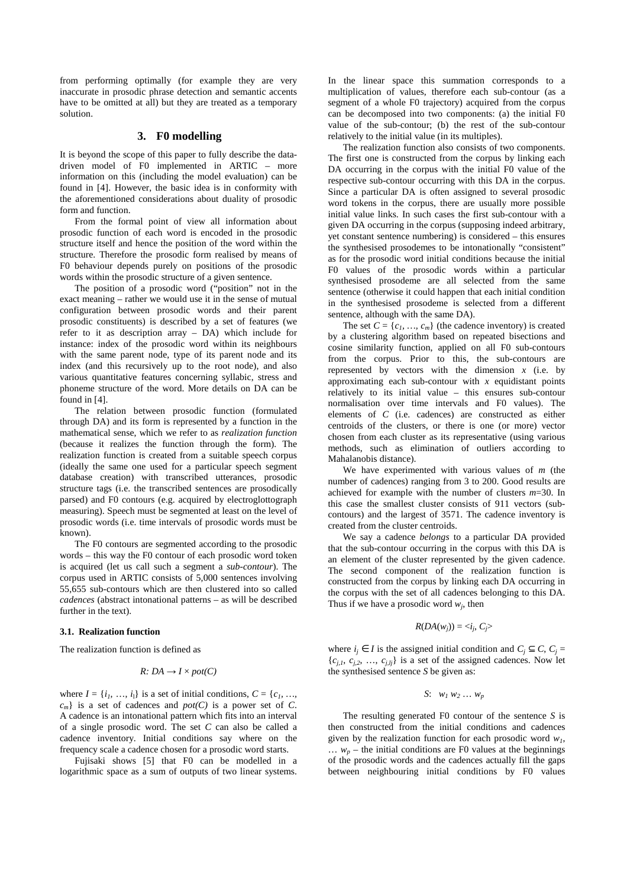from performing optimally (for example they are very inaccurate in prosodic phrase detection and semantic accents have to be omitted at all) but they are treated as a temporary solution.

# **3. F0 modelling**

It is beyond the scope of this paper to fully describe the datadriven model of F0 implemented in ARTIC – more information on this (including the model evaluation) can be found in [4]. However, the basic idea is in conformity with the aforementioned considerations about duality of prosodic form and function.

From the formal point of view all information about prosodic function of each word is encoded in the prosodic structure itself and hence the position of the word within the structure. Therefore the prosodic form realised by means of F0 behaviour depends purely on positions of the prosodic words within the prosodic structure of a given sentence.

The position of a prosodic word ("position" not in the exact meaning – rather we would use it in the sense of mutual configuration between prosodic words and their parent prosodic constituents) is described by a set of features (we refer to it as description array – DA) which include for instance: index of the prosodic word within its neighbours with the same parent node, type of its parent node and its index (and this recursively up to the root node), and also various quantitative features concerning syllabic, stress and phoneme structure of the word. More details on DA can be found in [4].

The relation between prosodic function (formulated through DA) and its form is represented by a function in the mathematical sense, which we refer to as *realization function* (because it realizes the function through the form). The realization function is created from a suitable speech corpus (ideally the same one used for a particular speech segment database creation) with transcribed utterances, prosodic structure tags (i.e. the transcribed sentences are prosodically parsed) and F0 contours (e.g. acquired by electroglottograph measuring). Speech must be segmented at least on the level of prosodic words (i.e. time intervals of prosodic words must be known).

The F0 contours are segmented according to the prosodic words – this way the F0 contour of each prosodic word token is acquired (let us call such a segment a *sub-contour*). The corpus used in ARTIC consists of 5,000 sentences involving 55,655 sub-contours which are then clustered into so called *cadences* (abstract intonational patterns – as will be described further in the text).

#### **3.1. Realization function**

The realization function is defined as

$$
R: DA \to I \times pot(C)
$$

where  $I = \{i_1, \ldots, i_l\}$  is a set of initial conditions,  $C = \{c_1, \ldots, c_l\}$  $c_m$ } is a set of cadences and *pot(C)* is a power set of *C*. A cadence is an intonational pattern which fits into an interval of a single prosodic word. The set *C* can also be called a cadence inventory. Initial conditions say where on the frequency scale a cadence chosen for a prosodic word starts.

Fujisaki shows [5] that F0 can be modelled in a logarithmic space as a sum of outputs of two linear systems. In the linear space this summation corresponds to a multiplication of values, therefore each sub-contour (as a segment of a whole F0 trajectory) acquired from the corpus can be decomposed into two components: (a) the initial F0 value of the sub-contour; (b) the rest of the sub-contour relatively to the initial value (in its multiples).

The realization function also consists of two components. The first one is constructed from the corpus by linking each DA occurring in the corpus with the initial F0 value of the respective sub-contour occurring with this DA in the corpus. Since a particular DA is often assigned to several prosodic word tokens in the corpus, there are usually more possible initial value links. In such cases the first sub-contour with a given DA occurring in the corpus (supposing indeed arbitrary, yet constant sentence numbering) is considered – this ensures the synthesised prosodemes to be intonationally "consistent" as for the prosodic word initial conditions because the initial F0 values of the prosodic words within a particular synthesised prosodeme are all selected from the same sentence (otherwise it could happen that each initial condition in the synthesised prosodeme is selected from a different sentence, although with the same DA).

The set  $C = \{c_1, \ldots, c_m\}$  (the cadence inventory) is created by a clustering algorithm based on repeated bisections and cosine similarity function, applied on all F0 sub-contours from the corpus. Prior to this, the sub-contours are represented by vectors with the dimension *x* (i.e. by approximating each sub-contour with *x* equidistant points relatively to its initial value – this ensures sub-contour normalisation over time intervals and F0 values). The elements of *C* (i.e. cadences) are constructed as either centroids of the clusters, or there is one (or more) vector chosen from each cluster as its representative (using various methods, such as elimination of outliers according to Mahalanobis distance).

We have experimented with various values of *m* (the number of cadences) ranging from 3 to 200. Good results are achieved for example with the number of clusters *m*=30. In this case the smallest cluster consists of 911 vectors (subcontours) and the largest of 3571. The cadence inventory is created from the cluster centroids.

We say a cadence *belongs* to a particular DA provided that the sub-contour occurring in the corpus with this DA is an element of the cluster represented by the given cadence. The second component of the realization function is constructed from the corpus by linking each DA occurring in the corpus with the set of all cadences belonging to this DA. Thus if we have a prosodic word  $w_j$ , then

$$
R(DA(w_j)) = \langle i_j, C_j \rangle
$$

where  $i_j$  ∈ *I* is the assigned initial condition and  $C_j$  ⊆  $C$ ,  $C_j$  =  ${c_{j,l}, c_{j,2}, ..., c_{j,lj}}$  is a set of the assigned cadences. Now let the synthesised sentence *S* be given as:

$$
S: w_1 w_2 \dots w_p
$$

The resulting generated F0 contour of the sentence *S* is then constructed from the initial conditions and cadences given by the realization function for each prosodic word *w<sup>1</sup>* ,  $\ldots$   $w_p$  – the initial conditions are F0 values at the beginnings of the prosodic words and the cadences actually fill the gaps between neighbouring initial conditions by F0 values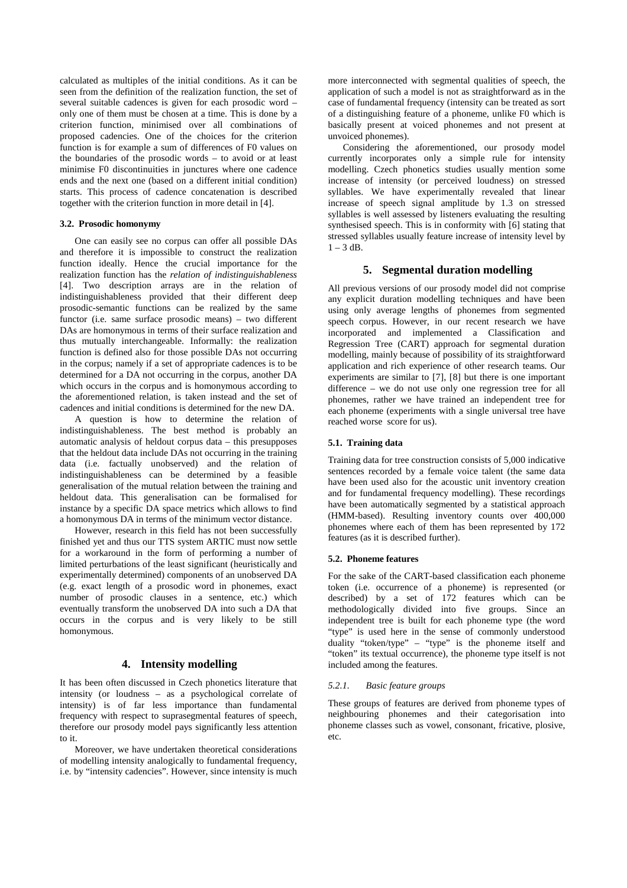calculated as multiples of the initial conditions. As it can be seen from the definition of the realization function, the set of several suitable cadences is given for each prosodic word – only one of them must be chosen at a time. This is done by a criterion function, minimised over all combinations of proposed cadencies. One of the choices for the criterion function is for example a sum of differences of F0 values on the boundaries of the prosodic words – to avoid or at least minimise F0 discontinuities in junctures where one cadence ends and the next one (based on a different initial condition) starts. This process of cadence concatenation is described together with the criterion function in more detail in [4].

## **3.2. Prosodic homonymy**

One can easily see no corpus can offer all possible DAs and therefore it is impossible to construct the realization function ideally. Hence the crucial importance for the realization function has the *relation of indistinguishableness* [4]. Two description arrays are in the relation of indistinguishableness provided that their different deep prosodic-semantic functions can be realized by the same functor (i.e. same surface prosodic means) – two different DAs are homonymous in terms of their surface realization and thus mutually interchangeable. Informally: the realization function is defined also for those possible DAs not occurring in the corpus; namely if a set of appropriate cadences is to be determined for a DA not occurring in the corpus, another DA which occurs in the corpus and is homonymous according to the aforementioned relation, is taken instead and the set of cadences and initial conditions is determined for the new DA.

A question is how to determine the relation of indistinguishableness. The best method is probably an automatic analysis of heldout corpus data – this presupposes that the heldout data include DAs not occurring in the training data (i.e. factually unobserved) and the relation of indistinguishableness can be determined by a feasible generalisation of the mutual relation between the training and heldout data. This generalisation can be formalised for instance by a specific DA space metrics which allows to find a homonymous DA in terms of the minimum vector distance.

However, research in this field has not been successfully finished yet and thus our TTS system ARTIC must now settle for a workaround in the form of performing a number of limited perturbations of the least significant (heuristically and experimentally determined) components of an unobserved DA (e.g. exact length of a prosodic word in phonemes, exact number of prosodic clauses in a sentence, etc.) which eventually transform the unobserved DA into such a DA that occurs in the corpus and is very likely to be still homonymous.

# **4. Intensity modelling**

It has been often discussed in Czech phonetics literature that intensity (or loudness – as a psychological correlate of intensity) is of far less importance than fundamental frequency with respect to suprasegmental features of speech, therefore our prosody model pays significantly less attention to it.

Moreover, we have undertaken theoretical considerations of modelling intensity analogically to fundamental frequency, i.e. by "intensity cadencies". However, since intensity is much more interconnected with segmental qualities of speech, the application of such a model is not as straightforward as in the case of fundamental frequency (intensity can be treated as sort of a distinguishing feature of a phoneme, unlike F0 which is basically present at voiced phonemes and not present at unvoiced phonemes).

Considering the aforementioned, our prosody model currently incorporates only a simple rule for intensity modelling. Czech phonetics studies usually mention some increase of intensity (or perceived loudness) on stressed syllables. We have experimentally revealed that linear increase of speech signal amplitude by 1.3 on stressed syllables is well assessed by listeners evaluating the resulting synthesised speech. This is in conformity with [6] stating that stressed syllables usually feature increase of intensity level by  $1 - 3$  dB.

# **5. Segmental duration modelling**

All previous versions of our prosody model did not comprise any explicit duration modelling techniques and have been using only average lengths of phonemes from segmented speech corpus. However, in our recent research we have incorporated and implemented a Classification and Regression Tree (CART) approach for segmental duration modelling, mainly because of possibility of its straightforward application and rich experience of other research teams. Our experiments are similar to [7], [8] but there is one important difference – we do not use only one regression tree for all phonemes, rather we have trained an independent tree for each phoneme (experiments with a single universal tree have reached worse score for us).

# **5.1. Training data**

Training data for tree construction consists of 5,000 indicative sentences recorded by a female voice talent (the same data have been used also for the acoustic unit inventory creation and for fundamental frequency modelling). These recordings have been automatically segmented by a statistical approach (HMM-based). Resulting inventory counts over 400,000 phonemes where each of them has been represented by 172 features (as it is described further).

#### **5.2. Phoneme features**

For the sake of the CART-based classification each phoneme token (i.e. occurrence of a phoneme) is represented (or described) by a set of 172 features which can be methodologically divided into five groups. Since an independent tree is built for each phoneme type (the word "type" is used here in the sense of commonly understood duality "token/type" – "type" is the phoneme itself and "token" its textual occurrence), the phoneme type itself is not included among the features.

## *5.2.1. Basic feature groups*

These groups of features are derived from phoneme types of neighbouring phonemes and their categorisation into phoneme classes such as vowel, consonant, fricative, plosive, etc.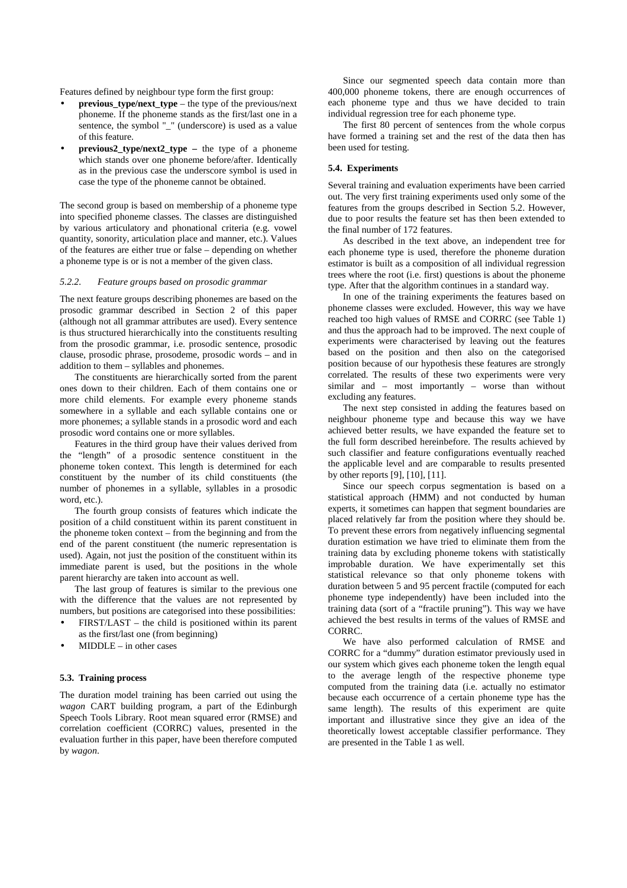Features defined by neighbour type form the first group:

- **previous** type/next type the type of the previous/next phoneme. If the phoneme stands as the first/last one in a sentence, the symbol "\_" (underscore) is used as a value of this feature.
- **previous2\_type/next2\_type –** the type of a phoneme which stands over one phoneme before/after. Identically as in the previous case the underscore symbol is used in case the type of the phoneme cannot be obtained.

The second group is based on membership of a phoneme type into specified phoneme classes. The classes are distinguished by various articulatory and phonational criteria (e.g. vowel quantity, sonority, articulation place and manner, etc.). Values of the features are either true or false – depending on whether a phoneme type is or is not a member of the given class.

## *5.2.2. Feature groups based on prosodic grammar*

The next feature groups describing phonemes are based on the prosodic grammar described in Section 2 of this paper (although not all grammar attributes are used). Every sentence is thus structured hierarchically into the constituents resulting from the prosodic grammar, i.e. prosodic sentence, prosodic clause, prosodic phrase, prosodeme, prosodic words – and in addition to them – syllables and phonemes.

The constituents are hierarchically sorted from the parent ones down to their children. Each of them contains one or more child elements. For example every phoneme stands somewhere in a syllable and each syllable contains one or more phonemes; a syllable stands in a prosodic word and each prosodic word contains one or more syllables.

Features in the third group have their values derived from the "length" of a prosodic sentence constituent in the phoneme token context. This length is determined for each constituent by the number of its child constituents (the number of phonemes in a syllable, syllables in a prosodic word, etc.).

The fourth group consists of features which indicate the position of a child constituent within its parent constituent in the phoneme token context – from the beginning and from the end of the parent constituent (the numeric representation is used). Again, not just the position of the constituent within its immediate parent is used, but the positions in the whole parent hierarchy are taken into account as well.

The last group of features is similar to the previous one with the difference that the values are not represented by numbers, but positions are categorised into these possibilities:

- FIRST/LAST the child is positioned within its parent as the first/last one (from beginning)
- $MIDDLE in other cases$

## **5.3. Training process**

The duration model training has been carried out using the *wagon* CART building program, a part of the Edinburgh Speech Tools Library. Root mean squared error (RMSE) and correlation coefficient (CORRC) values, presented in the evaluation further in this paper, have been therefore computed by *wagon*.

Since our segmented speech data contain more than 400,000 phoneme tokens, there are enough occurrences of each phoneme type and thus we have decided to train individual regression tree for each phoneme type.

The first 80 percent of sentences from the whole corpus have formed a training set and the rest of the data then has been used for testing.

## **5.4. Experiments**

Several training and evaluation experiments have been carried out. The very first training experiments used only some of the features from the groups described in Section 5.2. However, due to poor results the feature set has then been extended to the final number of 172 features.

As described in the text above, an independent tree for each phoneme type is used, therefore the phoneme duration estimator is built as a composition of all individual regression trees where the root (i.e. first) questions is about the phoneme type. After that the algorithm continues in a standard way.

In one of the training experiments the features based on phoneme classes were excluded. However, this way we have reached too high values of RMSE and CORRC (see Table 1) and thus the approach had to be improved. The next couple of experiments were characterised by leaving out the features based on the position and then also on the categorised position because of our hypothesis these features are strongly correlated. The results of these two experiments were very similar and – most importantly – worse than without excluding any features.

The next step consisted in adding the features based on neighbour phoneme type and because this way we have achieved better results, we have expanded the feature set to the full form described hereinbefore. The results achieved by such classifier and feature configurations eventually reached the applicable level and are comparable to results presented by other reports [9], [10], [11].

Since our speech corpus segmentation is based on a statistical approach (HMM) and not conducted by human experts, it sometimes can happen that segment boundaries are placed relatively far from the position where they should be. To prevent these errors from negatively influencing segmental duration estimation we have tried to eliminate them from the training data by excluding phoneme tokens with statistically improbable duration. We have experimentally set this statistical relevance so that only phoneme tokens with duration between 5 and 95 percent fractile (computed for each phoneme type independently) have been included into the training data (sort of a "fractile pruning"). This way we have achieved the best results in terms of the values of RMSE and CORRC.

We have also performed calculation of RMSE and CORRC for a "dummy" duration estimator previously used in our system which gives each phoneme token the length equal to the average length of the respective phoneme type computed from the training data (i.e. actually no estimator because each occurrence of a certain phoneme type has the same length). The results of this experiment are quite important and illustrative since they give an idea of the theoretically lowest acceptable classifier performance. They are presented in the Table 1 as well.